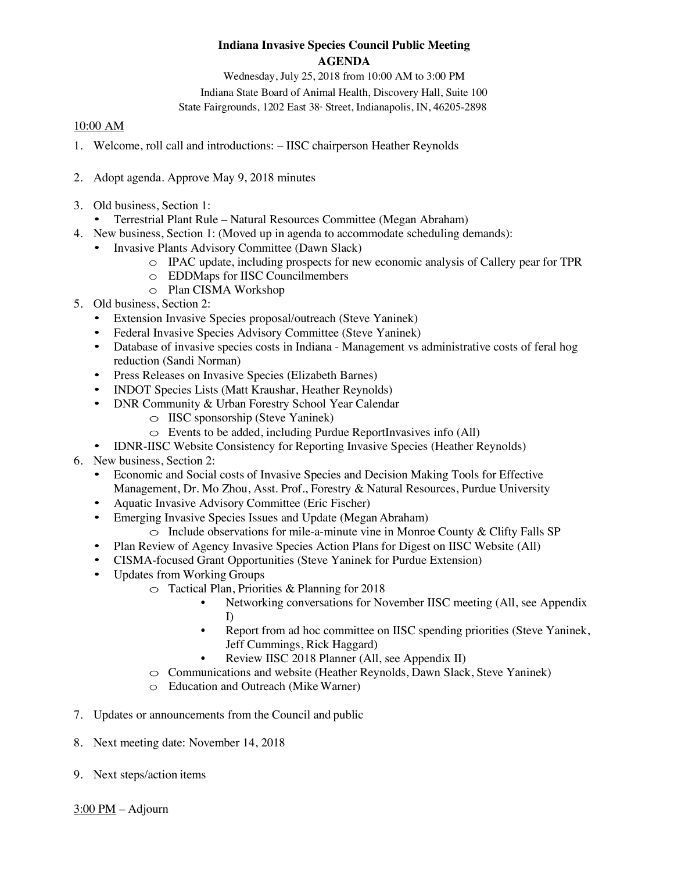## **Indiana Invasive Species Council Public Meeting AGENDA**

Wednesday, July 25, 2018 from 10:00 AM to 3:00 PM Indiana State Board of Animal Health, Discovery Hall, Suite 100 State Fairgrounds, 1202 East 38<sup>th</sup> Street, Indianapolis, IN, 46205-2898

## 10:00 AM

- 1. Welcome, roll call and introductions: IISC chairperson Heather Reynolds
- 2. Adopt agenda. Approve May 9, 2018 minutes
- 3. Old business, Section 1:
	- Terrestrial Plant Rule Natural Resources Committee (Megan Abraham)
- 4. New business, Section 1: (Moved up in agenda to accommodate scheduling demands):
	- Invasive Plants Advisory Committee (Dawn Slack)
		- $\circ$  IPAC update, including prospects for new economic analysis of Callery pear for TPR
		- o EDDMaps for IISC Councilmembers
		- o Plan CISMA Workshop
- 5. Old business, Section 2:
	- Extension Invasive Species proposal/outreach (Steve Yaninek)
	- Federal Invasive Species Advisory Committee (Steve Yaninek)
	- Database of invasive species costs in Indiana Management vs administrative costs of feral hog reduction (Sandi Norman)
	- Press Releases on Invasive Species (Elizabeth Barnes)
	- INDOT Species Lists (Matt Kraushar, Heather Reynolds)
	- DNR Community & Urban Forestry School Year Calendar
		- o IISC sponsorship (Steve Yaninek)
		- $\circ$  Events to be added, including Purdue ReportInvasives info (All)
	- IDNR-IISC Website Consistency for Reporting Invasive Species (Heather Reynolds)
- 6. New business, Section 2:
	- Economic and Social costs of Invasive Species and Decision Making Tools for Effective Management, Dr. Mo Zhou, Asst. Prof., Forestry & Natural Resources, Purdue University
	- Aquatic Invasive Advisory Committee (Eric Fischer)
	- Emerging Invasive Species Issues and Update (Megan Abraham)
		- $\circ$  Include observations for mile-a-minute vine in Monroe County & Clifty Falls SP
	- Plan Review of Agency Invasive Species Action Plans for Digest on IISC Website (All)
	- CISMA-focused Grant Opportunities (Steve Yaninek for Purdue Extension)
	- Updates from Working Groups
		- $\circ$  Tactical Plan, Priorities & Planning for 2018
			- Networking conversations for November IISC meeting (All, see Appendix I)
			- Report from ad hoc committee on IISC spending priorities (Steve Yaninek, Jeff Cummings, Rick Haggard)
			- Review IISC 2018 Planner (All, see Appendix II)
		- o Communications and website (Heather Reynolds, Dawn Slack, Steve Yaninek)
		- o Education and Outreach (Mike Warner)
- 7. Updates or announcements from the Council and public
- 8. Next meeting date: November 14, 2018
- 9. Next steps/action items

 $3:00$  PM – Adjourn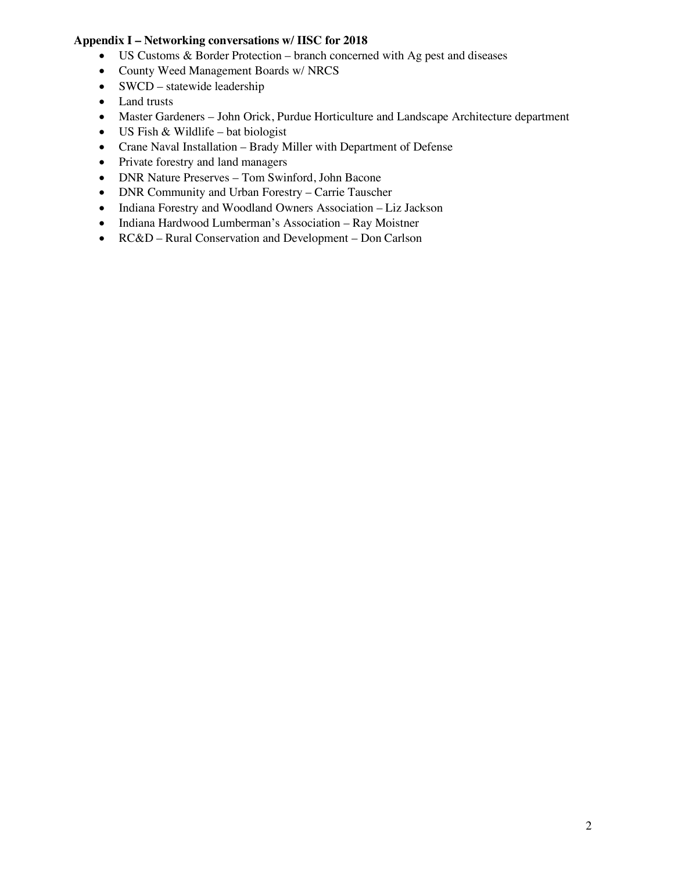## **Appendix I – Networking conversations w/ IISC for 2018**

- US Customs & Border Protection branch concerned with Ag pest and diseases
- County Weed Management Boards w/ NRCS
- SWCD statewide leadership
- Land trusts
- Master Gardeners John Orick, Purdue Horticulture and Landscape Architecture department
- US Fish & Wildlife bat biologist
- Crane Naval Installation Brady Miller with Department of Defense
- Private forestry and land managers
- DNR Nature Preserves Tom Swinford, John Bacone
- DNR Community and Urban Forestry Carrie Tauscher
- Indiana Forestry and Woodland Owners Association Liz Jackson
- Indiana Hardwood Lumberman's Association Ray Moistner
- RC&D Rural Conservation and Development Don Carlson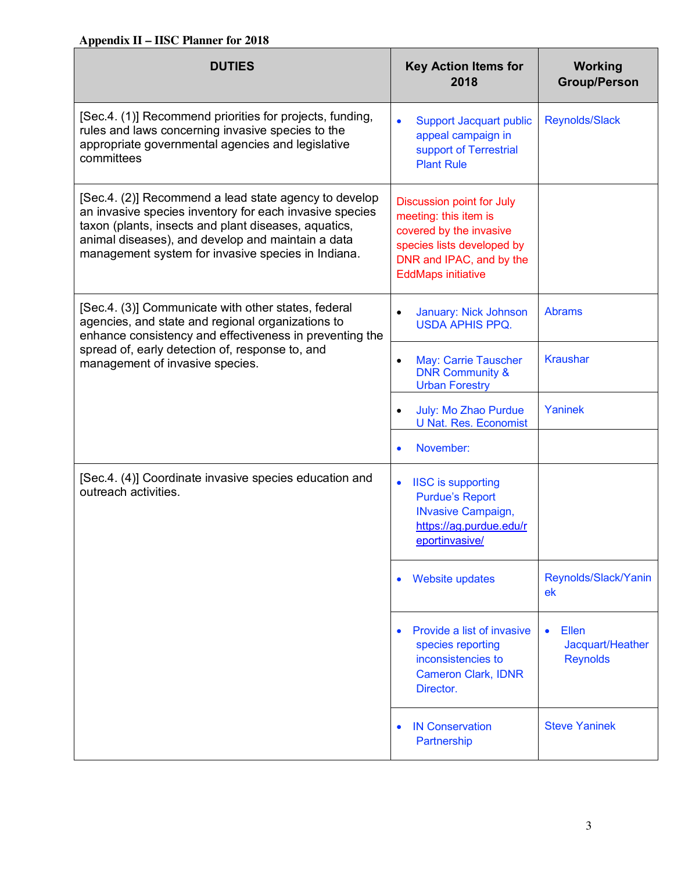## **Appendix II – IISC Planner for 2018**

| <b>DUTIES</b>                                                                                                                                                                                                                                                                       | <b>Key Action Items for</b><br>2018                                                                                                                                         | <b>Working</b><br><b>Group/Person</b>                     |
|-------------------------------------------------------------------------------------------------------------------------------------------------------------------------------------------------------------------------------------------------------------------------------------|-----------------------------------------------------------------------------------------------------------------------------------------------------------------------------|-----------------------------------------------------------|
| [Sec.4. (1)] Recommend priorities for projects, funding,<br>rules and laws concerning invasive species to the<br>appropriate governmental agencies and legislative<br>committees                                                                                                    | <b>Support Jacquart public</b><br>$\bullet$<br>appeal campaign in<br>support of Terrestrial<br><b>Plant Rule</b>                                                            | <b>Reynolds/Slack</b>                                     |
| [Sec.4. (2)] Recommend a lead state agency to develop<br>an invasive species inventory for each invasive species<br>taxon (plants, insects and plant diseases, aquatics,<br>animal diseases), and develop and maintain a data<br>management system for invasive species in Indiana. | <b>Discussion point for July</b><br>meeting: this item is<br>covered by the invasive<br>species lists developed by<br>DNR and IPAC, and by the<br><b>EddMaps initiative</b> |                                                           |
| [Sec.4. (3)] Communicate with other states, federal<br>agencies, and state and regional organizations to<br>enhance consistency and effectiveness in preventing the<br>spread of, early detection of, response to, and<br>management of invasive species.                           | January: Nick Johnson<br>$\bullet$<br><b>USDA APHIS PPQ.</b>                                                                                                                | <b>Abrams</b>                                             |
|                                                                                                                                                                                                                                                                                     | May: Carrie Tauscher<br>$\bullet$<br><b>DNR Community &amp;</b><br><b>Urban Forestry</b>                                                                                    | <b>Kraushar</b>                                           |
|                                                                                                                                                                                                                                                                                     | July: Mo Zhao Purdue<br>$\bullet$<br><b>U Nat. Res. Economist</b>                                                                                                           | Yaninek                                                   |
|                                                                                                                                                                                                                                                                                     | November:<br>$\bullet$                                                                                                                                                      |                                                           |
| [Sec.4. (4)] Coordinate invasive species education and<br>outreach activities.                                                                                                                                                                                                      | <b>IISC</b> is supporting<br>$\bullet$<br><b>Purdue's Report</b><br><b>INvasive Campaign,</b><br>https://ag.purdue.edu/r<br>eportinvasive/                                  |                                                           |
|                                                                                                                                                                                                                                                                                     | <b>Website updates</b><br>$\bullet$                                                                                                                                         | Reynolds/Slack/Yanin<br>ek                                |
|                                                                                                                                                                                                                                                                                     | Provide a list of invasive<br>$\bullet$<br>species reporting<br>inconsistencies to<br><b>Cameron Clark, IDNR</b><br>Director.                                               | Ellen<br>$\bullet$<br>Jacquart/Heather<br><b>Reynolds</b> |
|                                                                                                                                                                                                                                                                                     | <b>IN Conservation</b><br>$\bullet$<br>Partnership                                                                                                                          | <b>Steve Yaninek</b>                                      |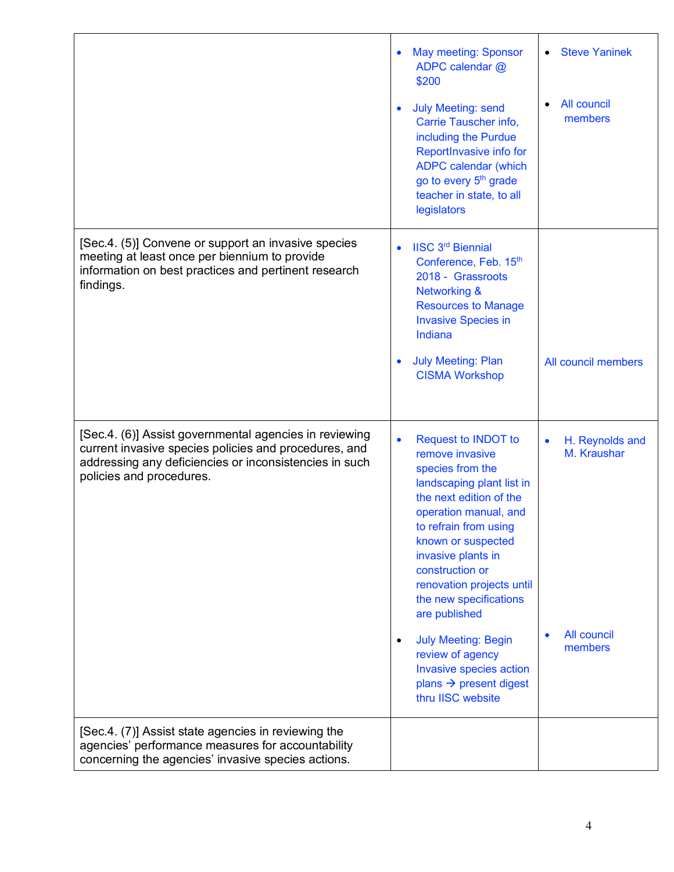|                                                                                                                                                                                                       | <b>May meeting: Sponsor</b><br>$\bullet$<br>ADPC calendar @<br>\$200                                                                                                                                                                                                                                                            | <b>Steve Yaninek</b><br>$\bullet$           |
|-------------------------------------------------------------------------------------------------------------------------------------------------------------------------------------------------------|---------------------------------------------------------------------------------------------------------------------------------------------------------------------------------------------------------------------------------------------------------------------------------------------------------------------------------|---------------------------------------------|
|                                                                                                                                                                                                       | <b>July Meeting: send</b><br>Carrie Tauscher info,<br>including the Purdue<br>ReportInvasive info for<br><b>ADPC calendar (which</b><br>go to every 5 <sup>th</sup> grade<br>teacher in state, to all<br>legislators                                                                                                            | All council<br>$\bullet$<br>members         |
| [Sec.4. (5)] Convene or support an invasive species<br>meeting at least once per biennium to provide<br>information on best practices and pertinent research<br>findings.                             | <b>IISC 3rd Biennial</b><br>$\bullet$<br>Conference, Feb. 15th<br>2018 - Grassroots<br><b>Networking &amp;</b><br><b>Resources to Manage</b><br><b>Invasive Species in</b><br>Indiana                                                                                                                                           |                                             |
|                                                                                                                                                                                                       | <b>July Meeting: Plan</b><br>$\bullet$<br><b>CISMA Workshop</b>                                                                                                                                                                                                                                                                 | All council members                         |
| [Sec.4. (6)] Assist governmental agencies in reviewing<br>current invasive species policies and procedures, and<br>addressing any deficiencies or inconsistencies in such<br>policies and procedures. | <b>Request to INDOT to</b><br>$\bullet$<br>remove invasive<br>species from the<br>landscaping plant list in<br>the next edition of the<br>operation manual, and<br>to refrain from using<br>known or suspected<br>invasive plants in<br>construction or<br>renovation projects until<br>the new specifications<br>are published | H. Reynolds and<br>$\bullet$<br>M. Kraushar |
|                                                                                                                                                                                                       | <b>July Meeting: Begin</b><br>$\bullet$<br>review of agency<br>Invasive species action<br>plans $\rightarrow$ present digest<br>thru IISC website                                                                                                                                                                               | All council<br>members                      |
| [Sec.4. (7)] Assist state agencies in reviewing the<br>agencies' performance measures for accountability<br>concerning the agencies' invasive species actions.                                        |                                                                                                                                                                                                                                                                                                                                 |                                             |